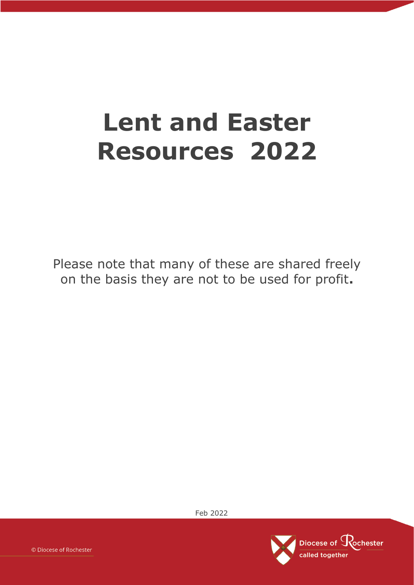# **Lent and Easter Resources 2022**

Please note that many of these are shared freely on the basis they are not to be used for profit**.**

Feb 2022

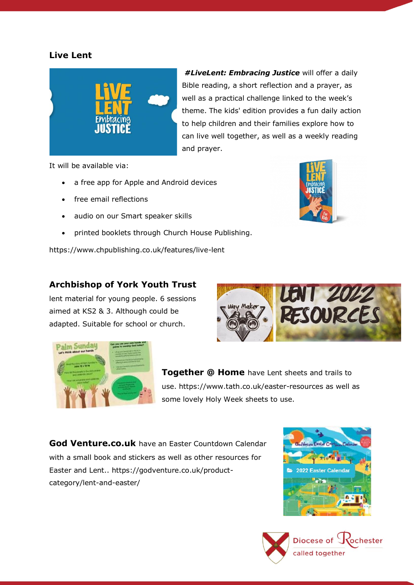## **Live Lent**



*#LiveLent: Embracing Justice* will offer a daily Bible reading, a short reflection and a prayer, as well as a practical challenge linked to the week's theme. The kids' edition provides a fun daily action to help children and their families explore how to can live well together, as well as a weekly reading and prayer.

It will be available via:

- a free app for Apple and Android devices
- free email reflections
- audio on [our Smart speaker skills](https://www.churchofengland.org/our-faith/our-smart-speaker-apps)
- printed booklets through [Church House Publishing.](https://www.chpublishing.co.uk/)

<https://www.chpublishing.co.uk/features/live-lent>

#### **Archbishop of York Youth Trust**

lent material for young people. 6 sessions aimed at KS2 & 3. Although could be adapted. Suitable for school or church.





**Together @ Home** have Lent sheets and trails to use.<https://www.tath.co.uk/easter-resources> as well as some lovely Holy Week sheets to use.

**God Venture.co.uk** have an Easter Countdown Calendar with a small book and stickers as well as other resources for Easter and Lent.. [https://godventure.co.uk/product](https://godventure.co.uk/product-category/lent-and-easter/)[category/lent-and-easter/](https://godventure.co.uk/product-category/lent-and-easter/)



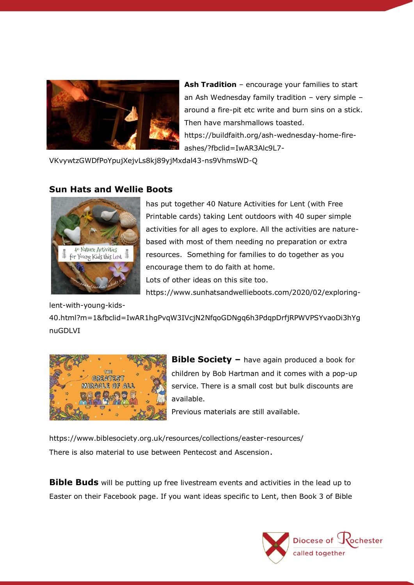

**Ash Tradition** – encourage your families to start an Ash Wednesday family tradition – very simple – around a fire-pit etc write and burn sins on a stick. Then have marshmallows toasted. [https://buildfaith.org/ash-wednesday-home-fire-](https://buildfaith.org/ash-wednesday-home-fire-ashes/?fbclid=IwAR3Alc9L7-VKvywtzGWDfPoYpujXejvLs8kj89yjMxdal43-ns9VhmsWD-Q)

[ashes/?fbclid=IwAR3Alc9L7-](https://buildfaith.org/ash-wednesday-home-fire-ashes/?fbclid=IwAR3Alc9L7-VKvywtzGWDfPoYpujXejvLs8kj89yjMxdal43-ns9VhmsWD-Q)

[VKvywtzGWDfPoYpujXejvLs8kj89yjMxdal43-ns9VhmsWD-Q](https://buildfaith.org/ash-wednesday-home-fire-ashes/?fbclid=IwAR3Alc9L7-VKvywtzGWDfPoYpujXejvLs8kj89yjMxdal43-ns9VhmsWD-Q)

#### **Sun Hats and Wellie Boots**



has put together 40 Nature Activities for Lent (with Free Printable cards) taking Lent outdoors with 40 super simple activities for all ages to explore. All the activities are naturebased with most of them needing no preparation or extra resources. Something for families to do together as you encourage them to do faith at home. Lots of other ideas on this site too.

[https://www.sunhatsandwellieboots.com/2020/02/exploring-](https://www.sunhatsandwellieboots.com/2020/02/exploring-lent-with-young-kids-40.html?m=1&fbclid=IwAR1hgPvqW3IVcjN2NfqoGDNgq6h3PdqpDrfjRPWVPSYvaoDi3hYgnuGDLVI)

[lent-with-young-kids-](https://www.sunhatsandwellieboots.com/2020/02/exploring-lent-with-young-kids-40.html?m=1&fbclid=IwAR1hgPvqW3IVcjN2NfqoGDNgq6h3PdqpDrfjRPWVPSYvaoDi3hYgnuGDLVI)

[40.html?m=1&fbclid=IwAR1hgPvqW3IVcjN2NfqoGDNgq6h3PdqpDrfjRPWVPSYvaoDi3hYg](https://www.sunhatsandwellieboots.com/2020/02/exploring-lent-with-young-kids-40.html?m=1&fbclid=IwAR1hgPvqW3IVcjN2NfqoGDNgq6h3PdqpDrfjRPWVPSYvaoDi3hYgnuGDLVI) [nuGDLVI](https://www.sunhatsandwellieboots.com/2020/02/exploring-lent-with-young-kids-40.html?m=1&fbclid=IwAR1hgPvqW3IVcjN2NfqoGDNgq6h3PdqpDrfjRPWVPSYvaoDi3hYgnuGDLVI)



**Bible Society –** have again produced a book for children by Bob Hartman and it comes with a pop-up service. There is a small cost but bulk discounts are available.

Previous materials are still available.

<https://www.biblesociety.org.uk/resources/collections/easter-resources/> There is also material to use between Pentecost and Ascension.

**Bible Buds** will be putting up free livestream events and activities in the lead up to Easter on their Facebook page. If you want ideas specific to Lent, then Book 3 of Bible

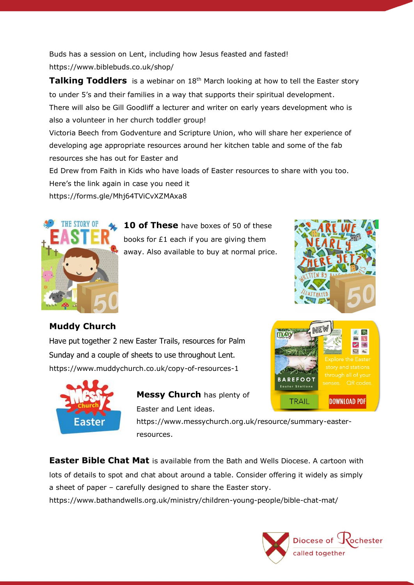Buds has a session on Lent, including how Jesus feasted and fasted! [https://www.biblebuds.co.uk/shop/](https://www.biblebuds.co.uk/shop/?fbclid=IwAR0TW2U-IUjkwhclWxNEc42bwf8GYewvbPG5UYKlwDQxJVhTLTJsFhTaiJA)

**Talking Toddlers** is a webinar on 18<sup>th</sup> March looking at how to tell the Easter story to under 5's and their families in a way that supports their spiritual development. There will also be Gill Goodliff a lecturer and writer on early years development who is also a volunteer in her church toddler group!

Victoria Beech from Godventure and Scripture Union, who will share her experience of developing age appropriate resources around her kitchen table and some of the fab resources she has out for Easter and

Ed Drew from Faith in Kids who have loads of Easter resources to share with you too. Here's the link again in case you need it

[https://forms.gle/Mhj64TViCvXZMAxa8](https://forms.gle/Mhj64TViCvXZMAxa8?fbclid=IwAR3QmY0t8k24V-OcYhW0Arg6ORzabq7VmVhRV0sEJZcZ99nAJXuNl9lkAGE)



**10 of These** have boxes of 50 of these books for £1 each if you are giving them away. Also available to buy at normal price.



 $\mathbf{A}$  $\ll$ 

 $\circ$ 

**DOWNLOAD PDF** 

# **Muddy Church**

Have put together 2 new Easter Trails, resources for Palm Sunday and a couple of sheets to use throughout Lent. <https://www.muddychurch.co.uk/copy-of-resources-1>



**Messy Church** has plenty of Easter and Lent ideas.

[https://www.messychurch.org.uk/resource/summary-easter](https://www.messychurch.org.uk/resource/summary-easter-resources)[resources.](https://www.messychurch.org.uk/resource/summary-easter-resources)

**Easter Bible Chat Mat** is available from the Bath and Wells Diocese. A cartoon with lots of details to spot and chat about around a table. Consider offering it widely as simply a sheet of paper – carefully designed to share the Easter story.

<https://www.bathandwells.org.uk/ministry/children-young-people/bible-chat-mat/>



**BARFFOOT** 

**TRAIL**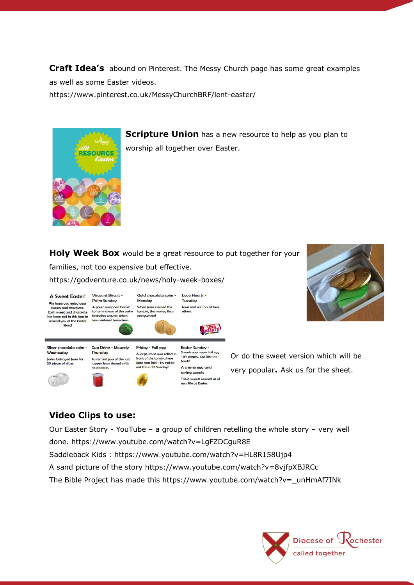**Craft Idea's** abound on Pinterest. The Messy Church page has some great examples as well as some Easter videos.

<https://www.pinterest.co.uk/MessyChurchBRF/lent-easter/>



**Scripture Union** has a new resource to help as you plan to worship all together over Easter.

**Holy Week Box** would be a great resource to put together for your families, not too expensive but effective. <https://godventure.co.uk/news/holy-week-boxes/>

Gold chocolate coins -

Friday - Foil egg

front of the tomb where

A Sweet Easter! We hope you enjoy your supply you any you sweets and chocolate.<br>Each sweet and chocolate<br>has been put in this bag to remind you of the Easter Story!

Palm Sunday Monday A green wrapped biscuit to remind you of the palm branches waved whe everywhere! Jesus entered Jerusale



**NEARTS** 

Love Hearts -

Silver chocolate coins -Wednesday Judas betrayed Jesus for<br>30 pieces of silver.



Viscount Biscuit -





**Easter Sunday** Smash open your foil egg A large stone was rolled in Jesus was laid - try not to A creme egg and spring sweets





Or do the sweet version which will be very popular**.** Ask us for the sheet.

# **Video Clips to use:**

[Our Easter Story -](https://www.youtube.com/watch?v=LgFZDCguR8E) YouTube – a group of children retelling the whole story – very well done. https://www.youtube.com/watch?v=LgFZDCguR8E Saddleback Kids :<https://www.youtube.com/watch?v=HL8R158Ujp4>

A sand picture of the story<https://www.youtube.com/watch?v=8vjfpXBJRCc>

The Bible Project has made this [https://www.youtube.com/watch?v=\\_unHmAf7INk](https://www.youtube.com/watch?v=_unHmAf7INk)

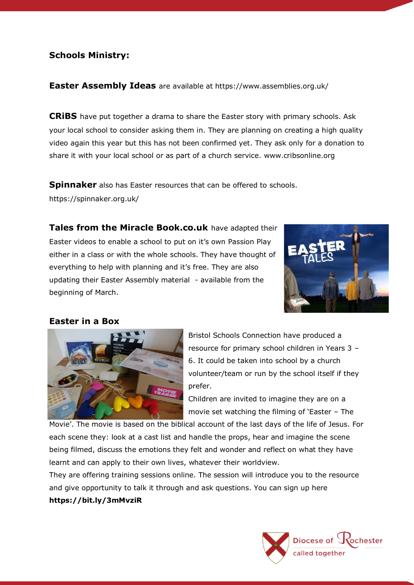## **Schools Ministry:**

#### **Easter Assembly Ideas** are available at <https://www.assemblies.org.uk/>

**CRiBS** have put together a drama to share the Easter story with primary schools. Ask your local school to consider asking them in. They are planning on creating a high quality video again this year but this has not been confirmed yet. They ask only for a donation to share it with your local school or as part of a church service. [www.cribsonline.org](http://www.cribsonline.org/)

**Spinnaker** also has Easter resources that can be offered to schools. <https://spinnaker.org.uk/>

**Tales from the Miracle Book.co.uk** have adapted their Easter videos to enable a school to put on it's own Passion Play either in a class or with the whole schools. They have thought of everything to help with planning and it's free. They are also updating their Easter Assembly material - available from the beginning of March.



#### **Easter in a Box**



Bristol Schools Connection have produced a resource for primary school children in Years 3 – 6. It could be taken into school by a church volunteer/team or run by the school itself if they prefer.

Children are invited to imagine they are on a movie set watching the filming of 'Easter – The

Movie'. The movie is based on the biblical account of the last days of the life of Jesus. For each scene they: look at a cast list and handle the props, hear and imagine the scene being filmed, discuss the emotions they felt and wonder and reflect on what they have learnt and can apply to their own lives, whatever their worldview.

They are offering training sessions online. The session will introduce you to the resource and give opportunity to talk it through and ask questions. You can sign up here

#### **<https://bit.ly/3mMvziR>**